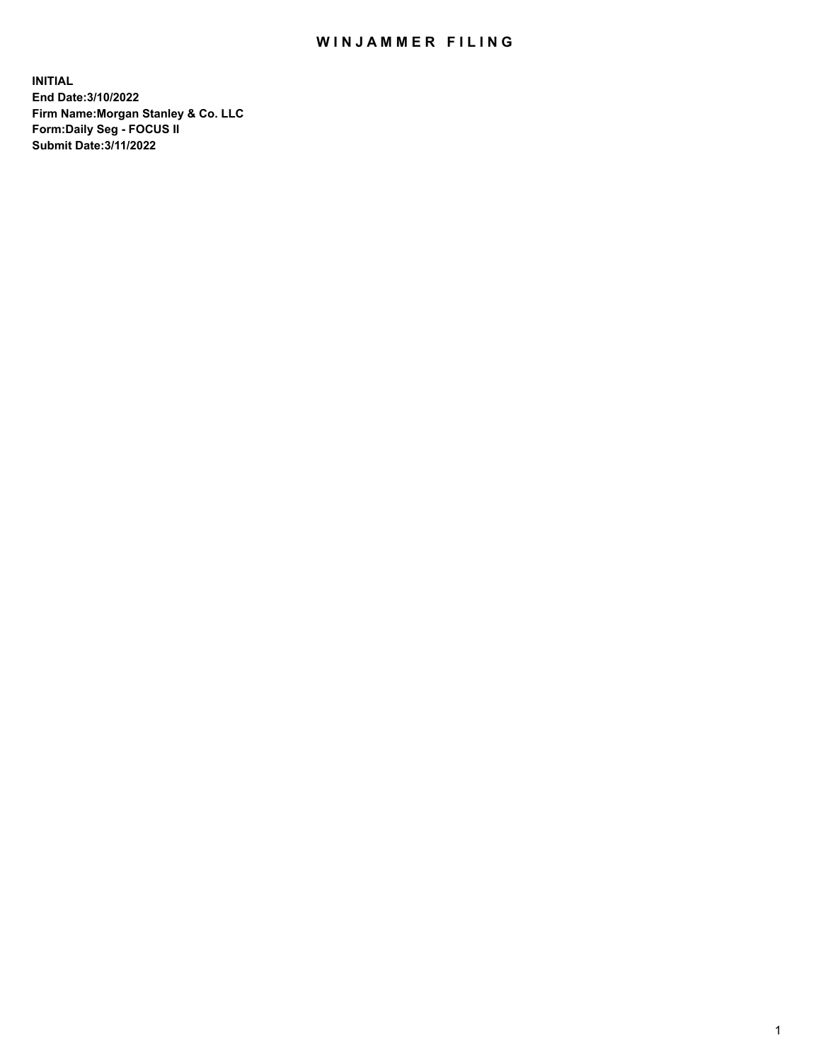## WIN JAMMER FILING

**INITIAL End Date:3/10/2022 Firm Name:Morgan Stanley & Co. LLC Form:Daily Seg - FOCUS II Submit Date:3/11/2022**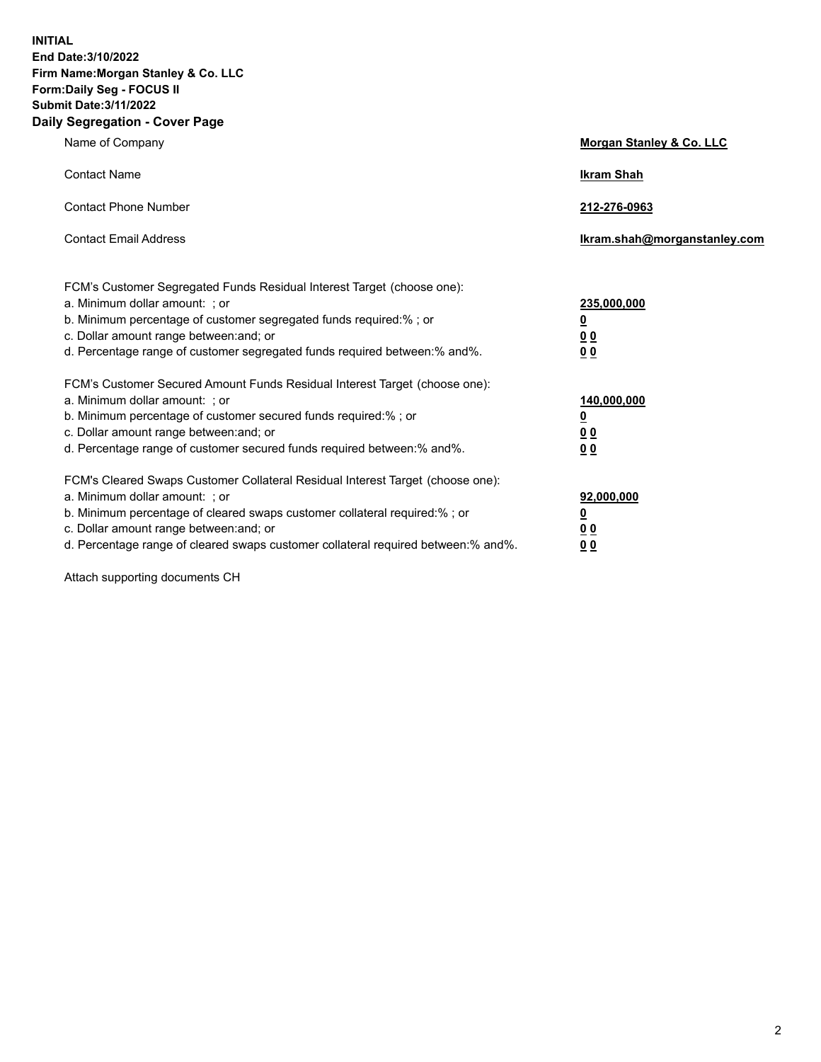**INITIAL End Date:3/10/2022 Firm Name:Morgan Stanley & Co. LLC Form:Daily Seg - FOCUS II Submit Date:3/11/2022 Daily Segregation - Cover Page**

| Name of Company                                                                                                                                                                                                                                                                                                                | Morgan Stanley & Co. LLC                                |
|--------------------------------------------------------------------------------------------------------------------------------------------------------------------------------------------------------------------------------------------------------------------------------------------------------------------------------|---------------------------------------------------------|
| <b>Contact Name</b>                                                                                                                                                                                                                                                                                                            | <b>Ikram Shah</b>                                       |
| <b>Contact Phone Number</b>                                                                                                                                                                                                                                                                                                    | 212-276-0963                                            |
| <b>Contact Email Address</b>                                                                                                                                                                                                                                                                                                   | Ikram.shah@morganstanley.com                            |
| FCM's Customer Segregated Funds Residual Interest Target (choose one):<br>a. Minimum dollar amount: ; or<br>b. Minimum percentage of customer segregated funds required:% ; or<br>c. Dollar amount range between: and; or<br>d. Percentage range of customer segregated funds required between:% and%.                         | 235,000,000<br><u>0</u><br><u>00</u><br><u>00</u>       |
| FCM's Customer Secured Amount Funds Residual Interest Target (choose one):<br>a. Minimum dollar amount: ; or<br>b. Minimum percentage of customer secured funds required:%; or<br>c. Dollar amount range between: and; or<br>d. Percentage range of customer secured funds required between:% and%.                            | 140,000,000<br><u>0</u><br><u>0 0</u><br>0 <sub>0</sub> |
| FCM's Cleared Swaps Customer Collateral Residual Interest Target (choose one):<br>a. Minimum dollar amount: ; or<br>b. Minimum percentage of cleared swaps customer collateral required:% ; or<br>c. Dollar amount range between: and; or<br>d. Percentage range of cleared swaps customer collateral required between:% and%. | 92,000,000<br><u>0</u><br><u>00</u><br>00               |

Attach supporting documents CH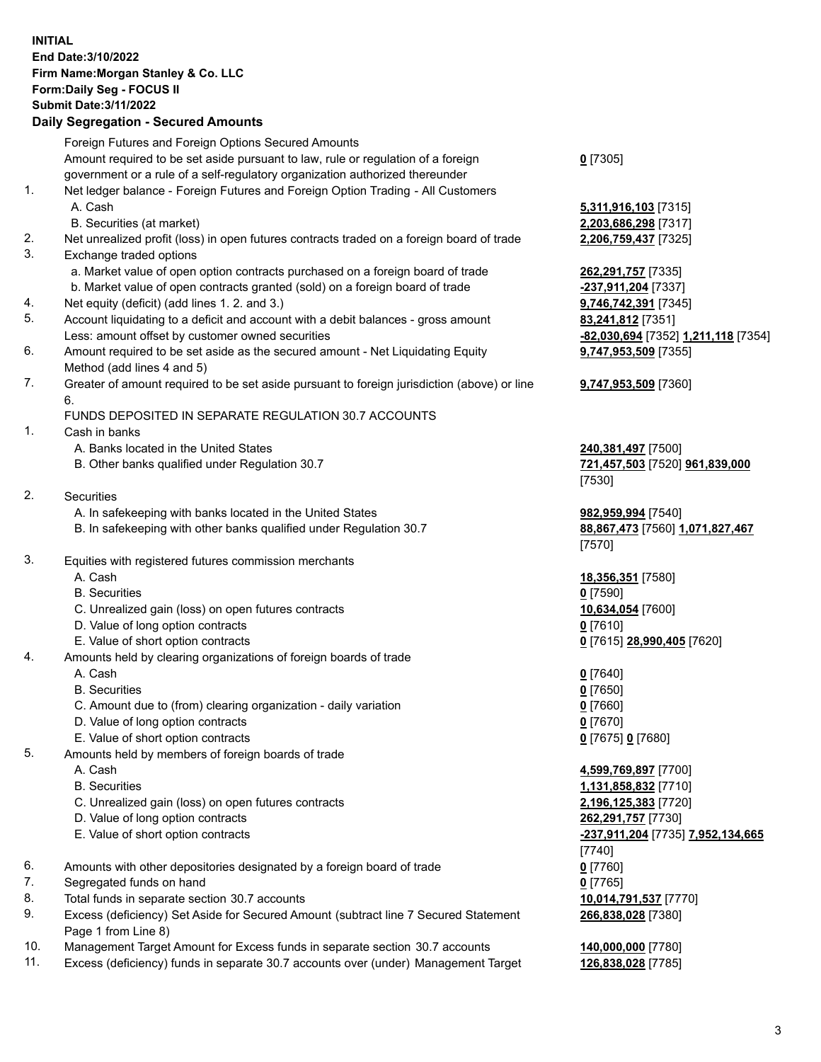## **INITIAL End Date:3/10/2022 Firm Name:Morgan Stanley & Co. LLC Form:Daily Seg - FOCUS II Submit Date:3/11/2022**

## **Daily Segregation - Secured Amounts**

|     | Foreign Futures and Foreign Options Secured Amounts                                         |                                               |
|-----|---------------------------------------------------------------------------------------------|-----------------------------------------------|
|     | Amount required to be set aside pursuant to law, rule or regulation of a foreign            | $0$ [7305]                                    |
|     | government or a rule of a self-regulatory organization authorized thereunder                |                                               |
| 1.  | Net ledger balance - Foreign Futures and Foreign Option Trading - All Customers             |                                               |
|     | A. Cash                                                                                     | 5,311,916,103 [7315]                          |
|     | B. Securities (at market)                                                                   | 2,203,686,298 [7317]                          |
| 2.  | Net unrealized profit (loss) in open futures contracts traded on a foreign board of trade   | 2,206,759,437 [7325]                          |
| 3.  | Exchange traded options                                                                     |                                               |
|     | a. Market value of open option contracts purchased on a foreign board of trade              | 262,291,757 [7335]                            |
|     | b. Market value of open contracts granted (sold) on a foreign board of trade                | -237,911,204 [7337]                           |
| 4.  | Net equity (deficit) (add lines 1. 2. and 3.)                                               | 9,746,742,391 [7345]                          |
| 5.  | Account liquidating to a deficit and account with a debit balances - gross amount           | 83,241,812 [7351]                             |
|     | Less: amount offset by customer owned securities                                            | <mark>-82,030,694</mark> [7352] 1,211,118 [73 |
| 6.  | Amount required to be set aside as the secured amount - Net Liquidating Equity              | 9,747,953,509 [7355]                          |
|     | Method (add lines 4 and 5)                                                                  |                                               |
| 7.  | Greater of amount required to be set aside pursuant to foreign jurisdiction (above) or line | <b>9,747,953,509</b> [7360]                   |
|     | 6.                                                                                          |                                               |
|     | FUNDS DEPOSITED IN SEPARATE REGULATION 30.7 ACCOUNTS                                        |                                               |
| 1.  | Cash in banks                                                                               |                                               |
|     | A. Banks located in the United States                                                       | 240,381,497 [7500]                            |
|     | B. Other banks qualified under Regulation 30.7                                              | 721,457,503 [7520] 961,839,000                |
|     |                                                                                             | [7530]                                        |
| 2.  | Securities                                                                                  |                                               |
|     | A. In safekeeping with banks located in the United States                                   | 982,959,994 [7540]                            |
|     | B. In safekeeping with other banks qualified under Regulation 30.7                          | 88,867,473 [7560] 1,071,827,46                |
|     |                                                                                             | [7570]                                        |
| 3.  | Equities with registered futures commission merchants                                       |                                               |
|     | A. Cash                                                                                     | 18,356,351 [7580]                             |
|     | <b>B.</b> Securities                                                                        | $0$ [7590]                                    |
|     | C. Unrealized gain (loss) on open futures contracts                                         | 10,634,054 [7600]                             |
|     | D. Value of long option contracts                                                           | $0$ [7610]                                    |
|     | E. Value of short option contracts                                                          | 0 [7615] 28,990,405 [7620]                    |
| 4.  | Amounts held by clearing organizations of foreign boards of trade                           |                                               |
|     | A. Cash                                                                                     | $0$ [7640]                                    |
|     | <b>B.</b> Securities                                                                        | $0$ [7650]                                    |
|     | C. Amount due to (from) clearing organization - daily variation                             | $0$ [7660]                                    |
|     | D. Value of long option contracts                                                           | $0$ [7670]                                    |
|     | E. Value of short option contracts                                                          | 0 [7675] 0 [7680]                             |
| 5.  | Amounts held by members of foreign boards of trade                                          |                                               |
|     | A. Cash                                                                                     | 4,599,769,897 [7700]                          |
|     | <b>B.</b> Securities                                                                        | 1,131,858,832 [7710]                          |
|     | C. Unrealized gain (loss) on open futures contracts                                         | 2,196,125,383 [7720]                          |
|     | D. Value of long option contracts                                                           | 262,291,757 [7730]                            |
|     | E. Value of short option contracts                                                          | <u>-237,911,204</u> [7735] <u>7,952,134,6</u> |
|     |                                                                                             | $[7740]$                                      |
| 6.  | Amounts with other depositories designated by a foreign board of trade                      | $0$ [7760]                                    |
| 7.  | Segregated funds on hand                                                                    | $0$ [7765]                                    |
| 8.  | Total funds in separate section 30.7 accounts                                               | 10,014,791,537 [7770]                         |
| 9.  | Excess (deficiency) Set Aside for Secured Amount (subtract line 7 Secured Statement         | 266,838,028 [7380]                            |
|     | Page 1 from Line 8)                                                                         |                                               |
| 10. | Management Target Amount for Excess funds in separate section 30.7 accounts                 | 140,000,000 [7780]                            |
|     |                                                                                             |                                               |

11. Excess (deficiency) funds in separate 30.7 accounts over (under) Management Target **126,838,028** [7785]

Less: amount offset by customer owned securities **-82,030,694** [7352] **1,211,118** [7354] 55]  $99$ 

E. 2. 952,134,665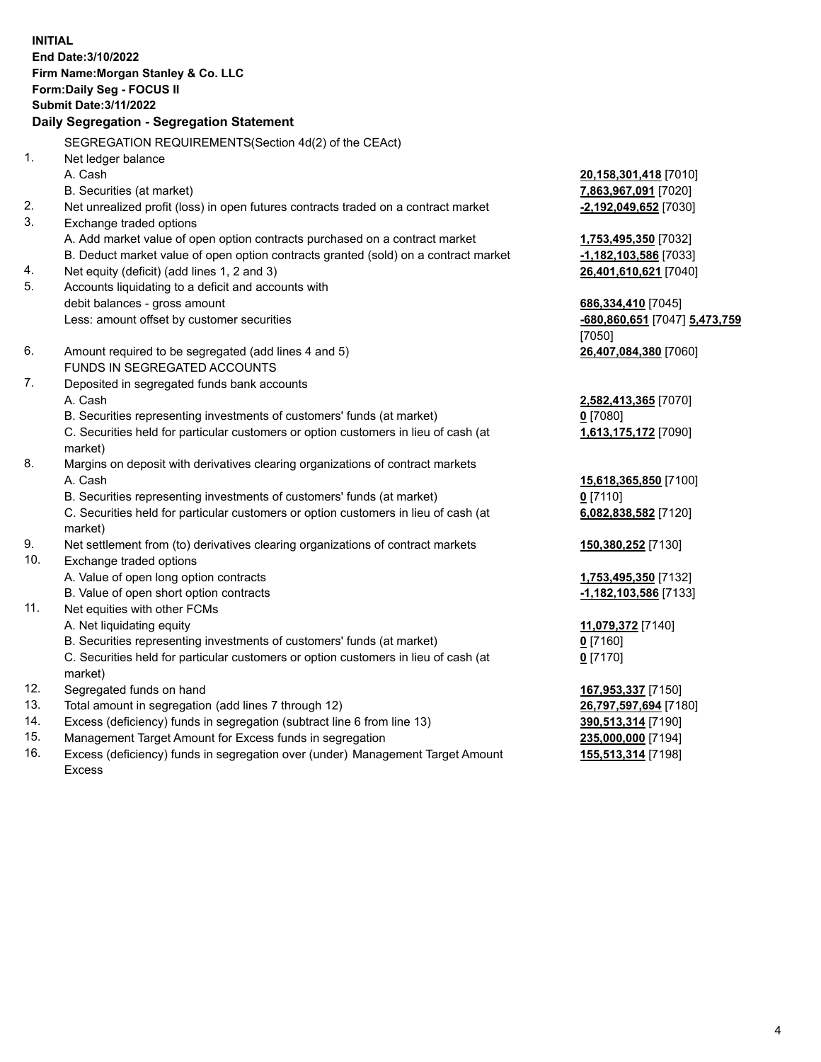**INITIAL End Date:3/10/2022 Firm Name:Morgan Stanley & Co. LLC Form:Daily Seg - FOCUS II Submit Date:3/11/2022 Daily Segregation - Segregation Statement** SEGREGATION REQUIREMENTS(Section 4d(2) of the CEAct) 1. Net ledger balance A. Cash **20,158,301,418** [7010] B. Securities (at market) **7,863,967,091** [7020] 2. Net unrealized profit (loss) in open futures contracts traded on a contract market **-2,192,049,652** [7030] 3. Exchange traded options A. Add market value of open option contracts purchased on a contract market **1,753,495,350** [7032] B. Deduct market value of open option contracts granted (sold) on a contract market **-1,182,103,586** [7033] 4. Net equity (deficit) (add lines 1, 2 and 3) **26,401,610,621** [7040] 5. Accounts liquidating to a deficit and accounts with debit balances - gross amount **686,334,410** [7045] Less: amount offset by customer securities **-680,860,651** [7047] **5,473,759** [7050] 6. Amount required to be segregated (add lines 4 and 5) **26,407,084,380** [7060] FUNDS IN SEGREGATED ACCOUNTS 7. Deposited in segregated funds bank accounts A. Cash **2,582,413,365** [7070] B. Securities representing investments of customers' funds (at market) **0** [7080] C. Securities held for particular customers or option customers in lieu of cash (at market) **1,613,175,172** [7090] 8. Margins on deposit with derivatives clearing organizations of contract markets A. Cash **15,618,365,850** [7100] B. Securities representing investments of customers' funds (at market) **0** [7110] C. Securities held for particular customers or option customers in lieu of cash (at market) **6,082,838,582** [7120] 9. Net settlement from (to) derivatives clearing organizations of contract markets **150,380,252** [7130] 10. Exchange traded options A. Value of open long option contracts **1,753,495,350** [7132] B. Value of open short option contracts **-1,182,103,586** [7133] 11. Net equities with other FCMs A. Net liquidating equity **11,079,372** [7140] B. Securities representing investments of customers' funds (at market) **0** [7160] C. Securities held for particular customers or option customers in lieu of cash (at market) **0** [7170] 12. Segregated funds on hand **167,953,337** [7150] 13. Total amount in segregation (add lines 7 through 12) **26,797,597,694** [7180] 14. Excess (deficiency) funds in segregation (subtract line 6 from line 13) **390,513,314** [7190] 15. Management Target Amount for Excess funds in segregation **235,000,000** [7194]

16. Excess (deficiency) funds in segregation over (under) Management Target Amount Excess

**155,513,314** [7198]